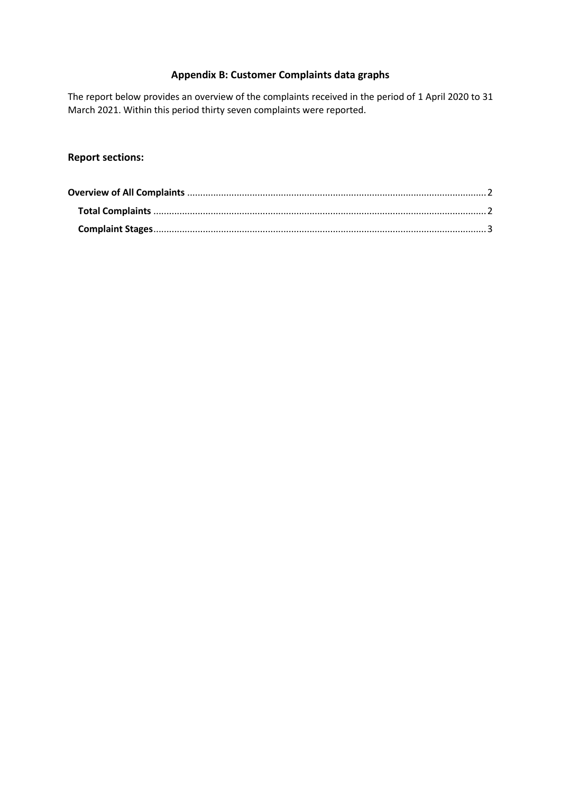# **Appendix B: Customer Complaints data graphs**

The report below provides an overview of the complaints received in the period of 1 April 2020 to 31 March 2021. Within this period thirty seven complaints were reported.

# **Report sections:**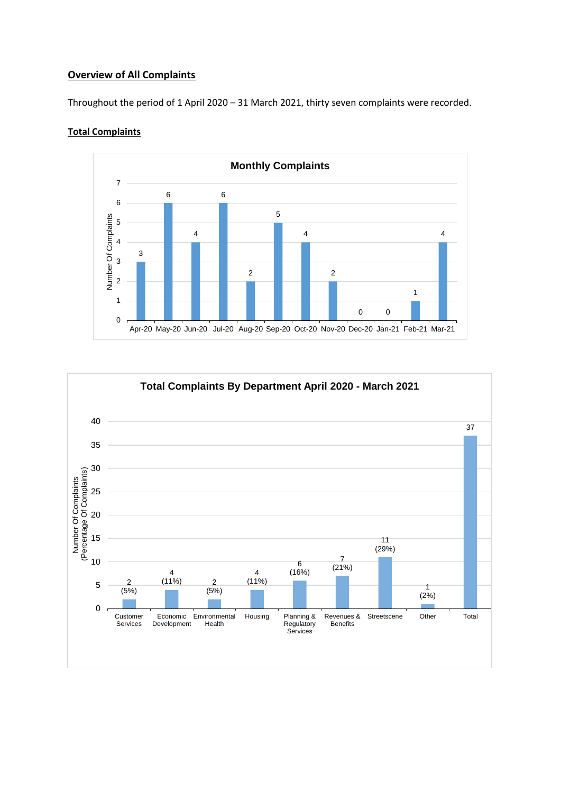## <span id="page-1-0"></span>**Overview of All Complaints**

Throughout the period of 1 April 2020 – 31 March 2021, thirty seven complaints were recorded.

#### <span id="page-1-1"></span>**Total Complaints**



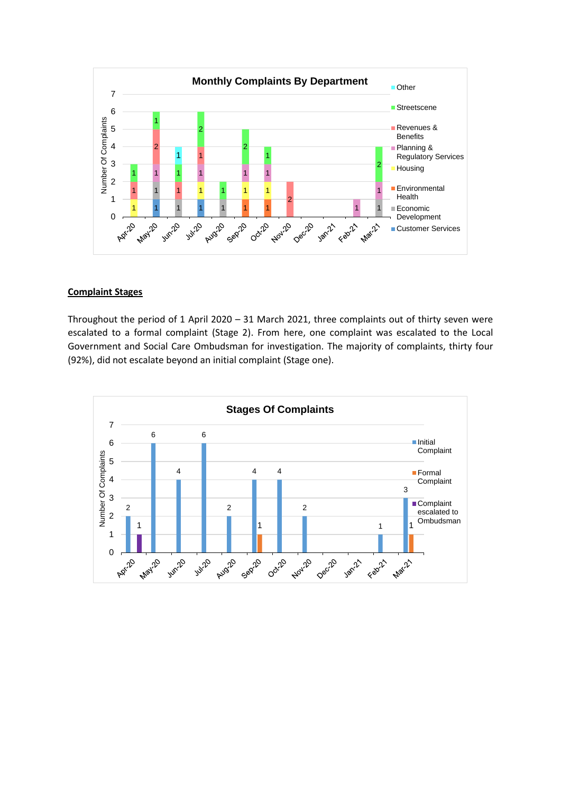

### <span id="page-2-0"></span>**Complaint Stages**

Throughout the period of 1 April 2020 – 31 March 2021, three complaints out of thirty seven were escalated to a formal complaint (Stage 2). From here, one complaint was escalated to the Local Government and Social Care Ombudsman for investigation. The majority of complaints, thirty four (92%), did not escalate beyond an initial complaint (Stage one).